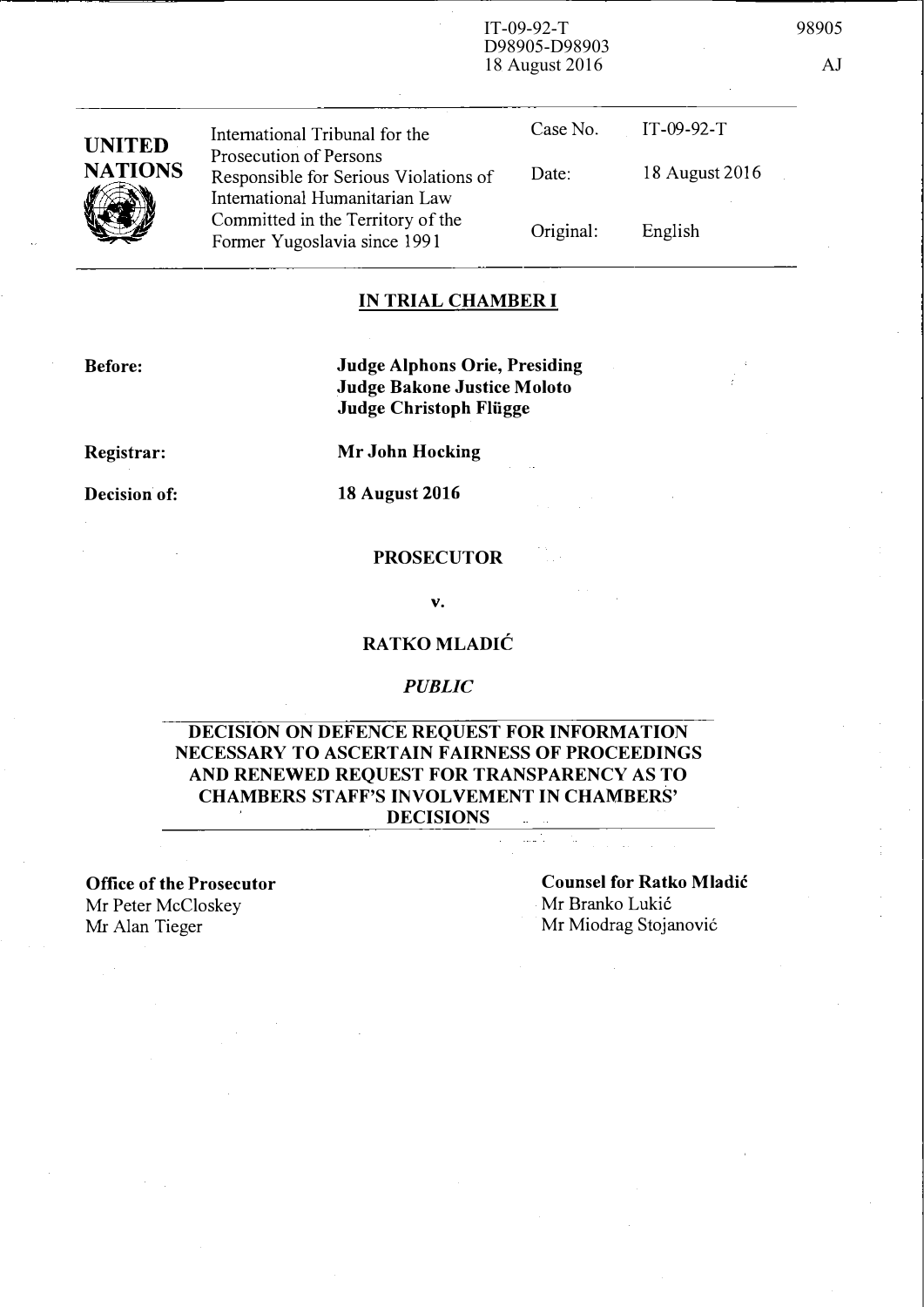IT-09-92-T 98905 18 August 2016 AJ

> Case No. IT-09-92-T Date: 18 August 2016

Original: English

# IN TRIAL CHAMBER I

Before:

Judge Alphons Orie, Presiding Judge Bakone Justice Moloto Judge Christoph Fliigge

Registrar:

Mr John Hocking

Decision of: 18 August 2016

### PROSECUTOR

v.

# RATKO MLADlC

### PUBLIC

# DECISION ON DEFENCE REQUEST FOR INFORMATION NECESSARY TO ASCERTAIN FAIRNESS OF PROCEEDINGS AND RENEWED REQUEST FOR TRANSPARENCY AS TO CHAMBERS STAFF'S INVOLVEMENT IN CHAMBERS' DECISIONS

Office of the Prosecutor Mr Peter McCloskey Mr Alan Tieger

Counsel for Ratko Mladic Mr Branko Lukić Mr Miodrag Stojanović



Prosecution of Persons Responsible for Serious Violations of International Humanitarian Law Committed in the Territory of the Former Yugoslavia since 1991

International Tribunal for the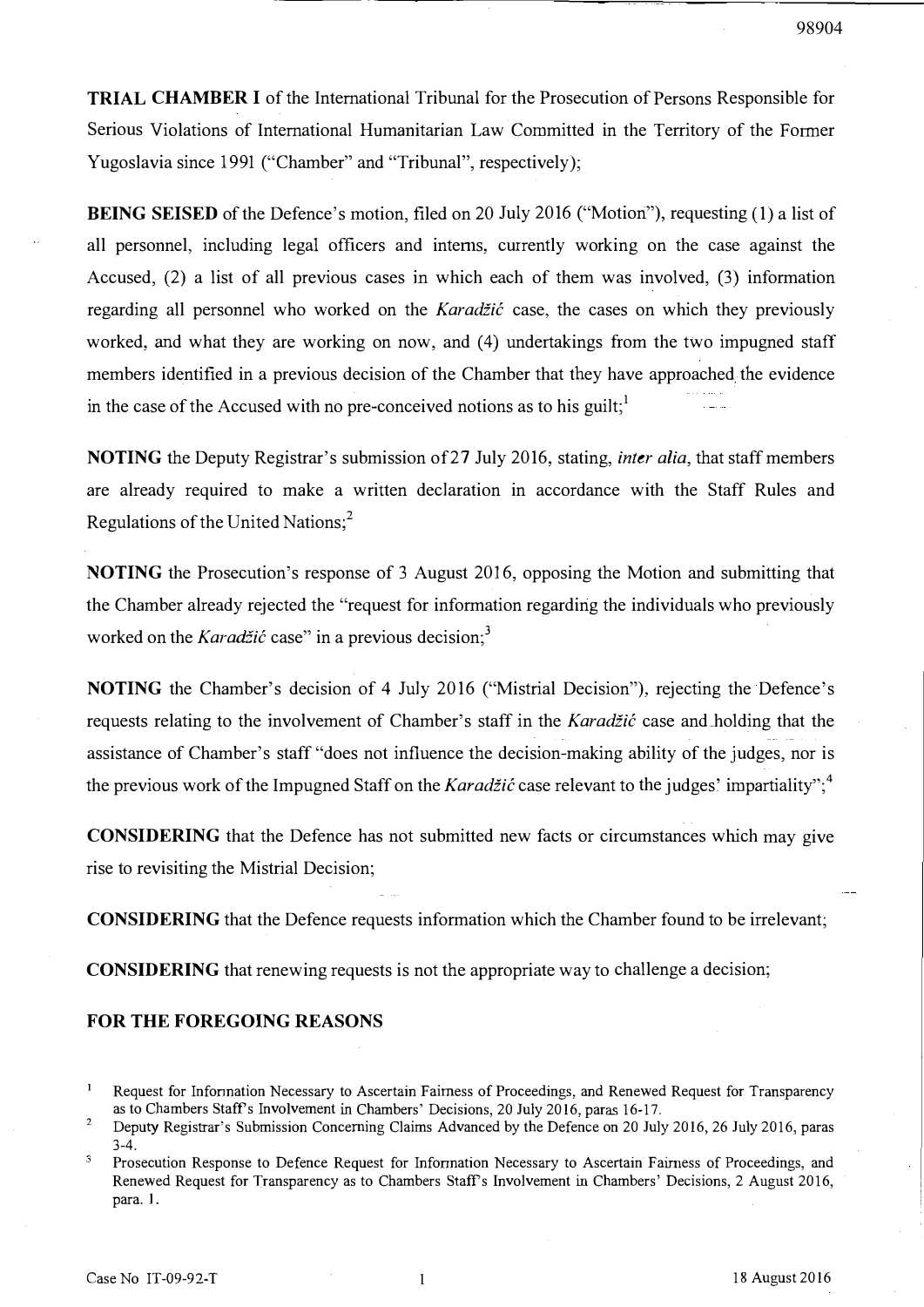TRIAL CHAMBER I of the International Tribunal for the Prosecution of Persons Responsible for Serious Violations of International Humanitarian Law Committed in the Territory of the Former Yugoslavia since 1991 ("Chamber" and "Tribunal", respectively);

BEING SEISED of the Defence's motion, filed on 20 July 2016 ("Motion"), requesting (1) a list of all personnel, including legal officers and interns, currently working on the case against the Accused, (2) a list of all previous cases in which each of them was involved, (3) information regarding all personnel who worked on the Karadžić case, the cases on which they previously worked, and what they are working on now, and (4) undertakings from the two impugned staff members identified in a previous decision of the Chamber that they have approached the evidence in the case of the Accused with no pre-conceived notions as to his guilt;

NOTING the Deputy Registrar's submission of 27 July 2016, stating, *inter alia*, that staff members are already required to make a written declaration in accordance with the Staff Rules and Regulations of the United Nations; $<sup>2</sup>$ </sup>

NOTING the Prosecution's response of 3 August 2016, opposing the Motion and submitting that the Chamber already rejected the "request for information regarding the individuals who previously worked on the Karadžić case" in a previous decision;<sup>3</sup>

NOTING the Chamber's decision of 4 July 2016 ("Mistrial Decision"), rejecting the Defence's requests relating to the involvement of Chamber's staff in the Karadžić case and holding that the assistance of Chamber's staff "does not influence the decision-making ability of the judges, nor is the previous work of the Impugned Staff on the *Karadžić* case relevant to the judges' impartiality";<sup>4</sup>

CONSIDERING that the Defence has not submitted new facts or circumstances which may give rise to revisiting the Mistrial Decision;

CONSIDERING that the Defence requests information which the Chamber found to be irrelevant;

CONSIDERING that renewing requests is not the appropriate way to challenge a decision;

#### FOR THE FOREGOING REASONS

 $\mathbf{1}$ Request for Infonnation Necessary to Ascertain Fairness of Proceedings, and Renewed Request for Transparency as to Chambers Staffs Involvement in Chambers' Decisions, 20 July 2016, paras 16-17.

<sup>2</sup>  Deputy Registrar's Submission Concerning Claims Advanced by the Defence on 20 July 2016, 26 July 2016, paras 3-4.

<sup>3</sup> Prosecution Response to Defence Request for Infonnation Necessary to Ascertain Fairness of Proceedings, and Renewed Request for Transparency as to Chambers Staffs Involvement in Chambers' Decisions, 2 August 2016, para. I.